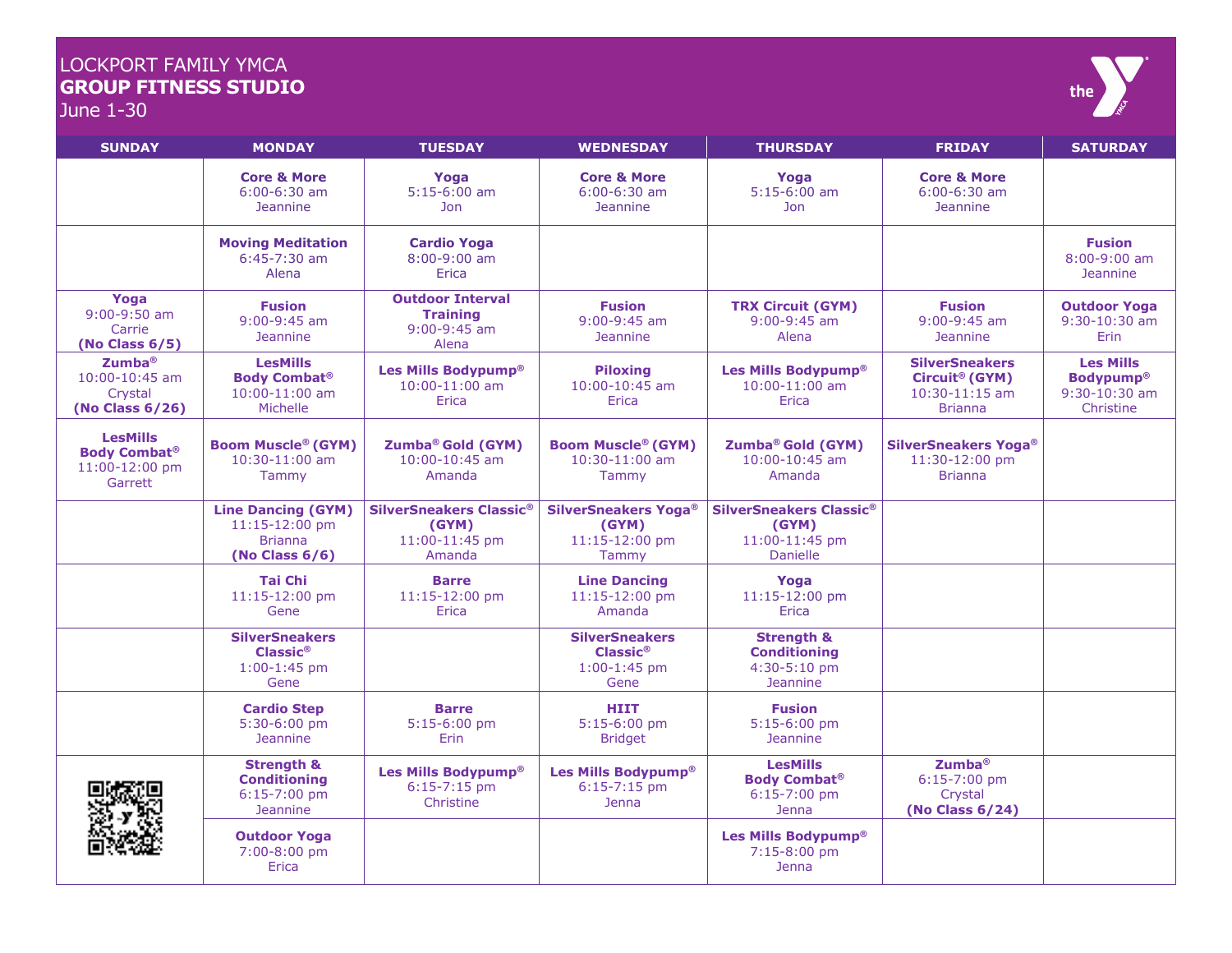## LOCKPORT FAMILY YMCA **GROUP FITNESS STUDIO**



June 1-30

| <b>SUNDAY</b>                                                             | <b>MONDAY</b>                                                                      | <b>TUESDAY</b>                                                        | <b>WEDNESDAY</b>                                                         | <b>THURSDAY</b>                                                                 | <b>FRIDAY</b>                                                                               | <b>SATURDAY</b>                                                      |
|---------------------------------------------------------------------------|------------------------------------------------------------------------------------|-----------------------------------------------------------------------|--------------------------------------------------------------------------|---------------------------------------------------------------------------------|---------------------------------------------------------------------------------------------|----------------------------------------------------------------------|
|                                                                           | <b>Core &amp; More</b><br>$6:00-6:30$ am<br><b>Jeannine</b>                        | Yoga<br>$5:15-6:00$ am<br>Jon                                         | <b>Core &amp; More</b><br>$6:00-6:30$ am<br><b>Jeannine</b>              | Yoga<br>$5:15-6:00$ am<br><b>Jon</b>                                            | <b>Core &amp; More</b><br>$6:00-6:30$ am<br><b>Jeannine</b>                                 |                                                                      |
|                                                                           | <b>Moving Meditation</b><br>$6:45-7:30$ am<br>Alena                                | <b>Cardio Yoga</b><br>$8:00-9:00$ am<br>Erica                         |                                                                          |                                                                                 |                                                                                             | <b>Fusion</b><br>$8:00-9:00$ am<br><b>Jeannine</b>                   |
| Yoga<br>$9:00-9:50$ am<br>Carrie<br>(No Class $6/5$ )                     | <b>Fusion</b><br>$9:00-9:45$ am<br><b>Jeannine</b>                                 | <b>Outdoor Interval</b><br><b>Training</b><br>$9:00-9:45$ am<br>Alena | <b>Fusion</b><br>$9:00-9:45$ am<br><b>Jeannine</b>                       | <b>TRX Circuit (GYM)</b><br>$9:00-9:45$ am<br>Alena                             | <b>Fusion</b><br>$9:00-9:45$ am<br><b>Jeannine</b>                                          | <b>Outdoor Yoga</b><br>$9:30 - 10:30$ am<br><b>Erin</b>              |
| $Z$ umba ${}^{\circ}$<br>$10:00 - 10:45$ am<br>Crystal<br>(No Class 6/26) | <b>LesMills</b><br><b>Body Combat®</b><br>10:00-11:00 am<br>Michelle               | Les Mills Bodypump®<br>$10:00 - 11:00$ am<br>Erica                    | <b>Piloxing</b><br>$10:00 - 10:45$ am<br>Erica                           | Les Mills Bodypump®<br>$10:00 - 11:00$ am<br>Erica                              | <b>SilverSneakers</b><br>Circuit <sup>®</sup> (GYM)<br>$10:30 - 11:15$ am<br><b>Brianna</b> | <b>Les Mills</b><br><b>Bodypump®</b><br>$9:30-10:30$ am<br>Christine |
| <b>LesMills</b><br><b>Body Combat®</b><br>11:00-12:00 pm<br>Garrett       | <b>Boom Muscle® (GYM)</b><br>10:30-11:00 am<br><b>Tammy</b>                        | Zumba <sup>®</sup> Gold (GYM)<br>10:00-10:45 am<br>Amanda             | <b>Boom Muscle® (GYM)</b><br>10:30-11:00 am<br>Tammy                     | Zumba® Gold (GYM)<br>10:00-10:45 am<br>Amanda                                   | <b>SilverSneakers Yoga®</b><br>11:30-12:00 pm<br><b>Brianna</b>                             |                                                                      |
|                                                                           | <b>Line Dancing (GYM)</b><br>11:15-12:00 pm<br><b>Brianna</b><br>(No Class $6/6$ ) | SilverSneakers Classic®<br>(GYM)<br>11:00-11:45 pm<br>Amanda          | <b>SilverSneakers Yoga®</b><br>(GYM)<br>11:15-12:00 pm<br>Tammy          | SilverSneakers Classic®<br>(GYM)<br>11:00-11:45 pm<br><b>Danielle</b>           |                                                                                             |                                                                      |
|                                                                           | <b>Tai Chi</b><br>11:15-12:00 pm<br>Gene                                           | <b>Barre</b><br>11:15-12:00 pm<br>Erica                               | <b>Line Dancing</b><br>11:15-12:00 pm<br>Amanda                          | Yoga<br>11:15-12:00 pm<br>Erica                                                 |                                                                                             |                                                                      |
|                                                                           | <b>SilverSneakers</b><br>$Cl$ assic®<br>$1:00-1:45$ pm<br>Gene                     |                                                                       | <b>SilverSneakers</b><br>$Cl$ assic $^{\circ}$<br>$1:00-1:45$ pm<br>Gene | <b>Strength &amp;</b><br><b>Conditioning</b><br>4:30-5:10 pm<br><b>Jeannine</b> |                                                                                             |                                                                      |
|                                                                           | <b>Cardio Step</b><br>5:30-6:00 pm<br><b>Jeannine</b>                              | <b>Barre</b><br>$5:15-6:00$ pm<br>Erin                                | <b>HIIT</b><br>$5:15-6:00$ pm<br><b>Bridget</b>                          | <b>Fusion</b><br>$5:15-6:00$ pm<br><b>Jeannine</b>                              |                                                                                             |                                                                      |
|                                                                           | <b>Strength &amp;</b><br><b>Conditioning</b><br>$6:15-7:00$ pm<br><b>Jeannine</b>  | Les Mills Bodypump®<br>$6:15-7:15$ pm<br>Christine                    | Les Mills Bodypump®<br>$6:15 - 7:15$ pm<br>Jenna                         | <b>LesMills</b><br><b>Body Combat®</b><br>$6:15-7:00$ pm<br><b>Jenna</b>        | Zumba <sup>®</sup><br>$6:15-7:00$ pm<br>Crystal<br>(No Class 6/24)                          |                                                                      |
|                                                                           | <b>Outdoor Yoga</b><br>7:00-8:00 pm<br>Erica                                       |                                                                       |                                                                          | Les Mills Bodypump®<br>7:15-8:00 pm<br>Jenna                                    |                                                                                             |                                                                      |